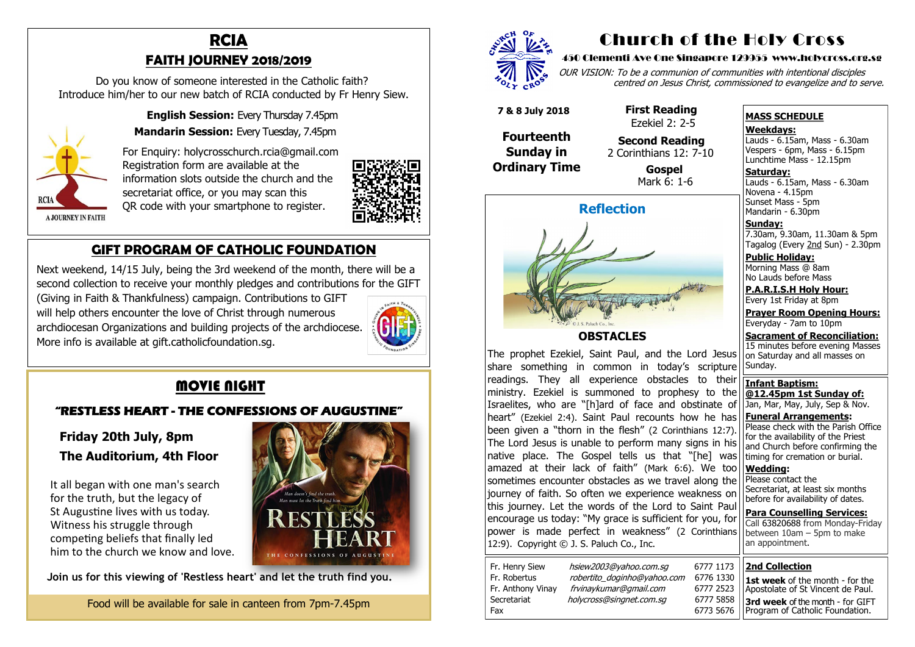# **RCIA FAITH JOURNEY 2018/2019**

 Do you know of someone interested in the Catholic faith? Introduce him/her to our new batch of RCIA conducted by Fr Henry Siew.

 **English Session:** Every Thursday 7.45pm



 **Mandarin Session:** Every Tuesday, 7.45pm

 For Enquiry: holycrosschurch.rcia@gmail.com Registration form are available at the information slots outside the church and the secretariat office, or you may scan this QR code with your smartphone to register.



**A JOURNEY IN FAITH** 

## **GIFT PROGRAM OF CATHOLIC FOUNDATION**

 Next weekend, 14/15 July, being the 3rd weekend of the month, there will be a second collection to receive your monthly pledges and contributions for the GIFT (Giving in Faith & Thankfulness) campaign. Contributions to GIFT will help others encounter the love of Christ through numerous

 archdiocesan Organizations and building projects of the archdiocese. More info is available at gift.catholicfoundation.sg.



# **MOVIE NIGHT**

#### **"RESTLESS HEART - THE CONFESSIONS OF AUGUSTINE"**

**Saturday:** Lauds - 6.15am, Mass - 6.30am Novena - 4.15pm Sunset Mass - 5pm Mandarin - 6.30pm

 **Friday 20th July, 8pm The Auditorium, 4th Floor**

 It all began with one man's search for the truth, but the legacy of St Augustine lives with us today. Witness his struggle through competing beliefs that finally led him to the church we know and love.



**Join us for this viewing of 'Restless heart' and let the truth find you.**

Food will be available for sale in canteen from 7pm-7.45pm



# Church of the Holy Cross

#### 450 Clementi Ave One Singapore 129955 www.holycross.org.sg

| 6777 1173 |
|-----------|
| 6776 1330 |
| 6777 2523 |
| 6777 5858 |
| 6773 5676 |

OUR VISION: To be a communion of communities with intentional disciples centred on Jesus Christ, commissioned to evangelize and to serve.

| Fr. Henry Siew    | hsiew2003@yahoo.com.sq      | 6777 1173 |
|-------------------|-----------------------------|-----------|
| Fr. Robertus      | robertito doginho@yahoo.com | 6776 1330 |
| Fr. Anthony Vinay | frvinaykumar@gmail.com      | 6777 2523 |
| Secretariat       | holycross@singnet.com.sq    | 6777 5858 |
| Fax               |                             | 6773 5676 |

#### **MASS SCHEDULE**

**Weekdays:**

Lauds - 6.15am, Mass - 6.30am Vespers - 6pm, Mass - 6.15pm Lunchtime Mass - 12.15pm

**Sunday:** 7.30am, 9.30am, 11.30am & 5pm Tagalog (Every 2nd Sun) - 2.30pm

**Public Holiday:**  Morning Mass @ 8am No Lauds before Mass

**P.A.R.I.S.H Holy Hour:** Every 1st Friday at 8pm

**Prayer Room Opening Hours:** Everyday - 7am to 10pm

**Sacrament of Reconciliation:** 15 minutes before evening Masses on Saturday and all masses on Sunday.

**Infant Baptism: @12.45pm 1st Sunday of:** Jan, Mar, May, July, Sep & Nov.

**Funeral Arrangements:**  Please check with the Parish Office for the availability of the Priest and Church before confirming the timing for cremation or burial.

**Wedding:**  Please contact the Secretariat, at least six months before for availability of dates.

**Para Counselling Services:** Call [63820688](tel:+6563820688) from Monday-Friday



**OBSTACLES**

The prophet Ezekiel, Saint Paul, and the Lord Jesus share something in common in today's scripture readings. They all experience obstacles to their ministry. Ezekiel is summoned to prophesy to the Israelites, who are "[h]ard of face and obstinate of heart" (Ezekiel 2:4). Saint Paul recounts how he has been given a "thorn in the flesh" (2 Corinthians 12:7). The Lord Jesus is unable to perform many signs in his native place. The Gospel tells us that "[he] was amazed at their lack of faith" (Mark 6:6). We too sometimes encounter obstacles as we travel along the journey of faith. So often we experience weakness on this journey. Let the words of the Lord to Saint Paul encourage us today: "My grace is sufficient for you, for power is made perfect in weakness" (2 Coring 12:9).Copyright © J. S. Paluch Co., Inc.

| וטו ,טט<br>inthians | Call 63820688 from Monday-Friday<br>between $10am - 5pm$ to make<br>an appointment. |
|---------------------|-------------------------------------------------------------------------------------|
| 77 1173             | <b>2nd Collection</b>                                                               |
| 76 1330             | <b>1st week</b> of the month - for the                                              |
| 77 2523             | Apostolate of St Vincent de Paul.                                                   |
| 77 5858             | 3rd week of the month - for GIFT                                                    |
| 73 5676             | Program of Catholic Foundation.                                                     |

 **7 & 8 July 2018**

**Fourteenth Sunday in Ordinary Time**  **First Reading** 

# Ezekiel 2: 2-5

 **Second Reading** 2 Corinthians 12: 7-10

> **Gospel** Mark 6: 1-6